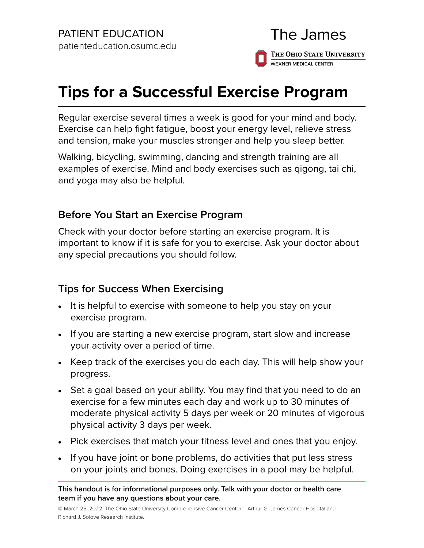## The James THE OHIO STATE UNIVERSITY **WEXNER MEDICAL CENTER**

## **Tips for a Successful Exercise Program**

Regular exercise several times a week is good for your mind and body. Exercise can help fight fatigue, boost your energy level, relieve stress and tension, make your muscles stronger and help you sleep better.

Walking, bicycling, swimming, dancing and strength training are all examples of exercise. Mind and body exercises such as [qigong](http://www.cancer.gov/Common/PopUps/popDefinition.aspx?id=467860&version=Patient&language=English), [tai chi](http://www.cancer.gov/Common/PopUps/popDefinition.aspx?id=467869&version=Patient&language=English), and [yoga](http://www.cancer.gov/Common/PopUps/popDefinition.aspx?id=532135&version=Patient&language=English) may also be helpful.

## **Before You Start an Exercise Program**

Check with your doctor before starting an exercise program. It is important to know if it is safe for you to exercise. Ask your doctor about any special precautions you should follow.

## **Tips for Success When Exercising**

- It is helpful to exercise with someone to help you stay on your exercise program.
- If you are starting a new exercise program, start slow and increase your activity over a period of time.
- Keep track of the exercises you do each day. This will help show your progress.
- Set a goal based on your ability. You may find that you need to do an exercise for a few minutes each day and work up to 30 minutes of moderate physical activity 5 days per week or 20 minutes of vigorous physical activity 3 days per week.
- Pick exercises that match your fitness level and ones that you enjoy.
- If you have joint or bone problems, do activities that put less stress on your joints and bones. Doing exercises in a pool may be helpful.

**This handout is for informational purposes only. Talk with your doctor or health care team if you have any questions about your care.**

© March 25, 2022. The Ohio State University Comprehensive Cancer Center – Arthur G. James Cancer Hospital and Richard J. Solove Research Institute.